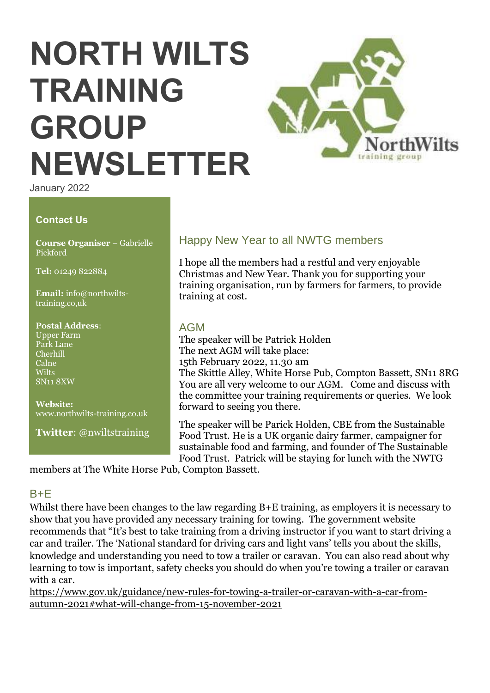# **NORTH WILTS TRAINING GROUP NEWSLETTER**



January 2022

#### **Contact Us**

**Course Organiser** – Gabrielle Pickford

**Tel:** 01249 822884

**Email:** info@northwiltstraining.co,uk

#### **Postal Address**:

Upper Farm Park Lane Cherhill Calne **Wilts** SN11 8XW

**Website:**  www.northwilts-training.co.uk

**Twitter**: @nwiltstraining

# Happy New Year to all NWTG members

I hope all the members had a restful and very enjoyable Christmas and New Year. Thank you for supporting your training organisation, run by farmers for farmers, to provide training at cost.

#### AGM

The speaker will be Patrick Holden The next AGM will take place: 15th February 2022, 11.30 am The Skittle Alley, White Horse Pub, Compton Bassett, SN11 8RG You are all very welcome to our AGM. Come and discuss with the committee your training requirements or queries. We look forward to seeing you there.

The speaker will be Parick Holden, CBE from the Sustainable Food Trust. He is a UK organic dairy farmer, campaigner for sustainable food and farming, and founder of The Sustainable Food Trust. Patrick will be staying for lunch with the NWTG

members at The White Horse Pub, Compton Bassett.

#### $B + F$

Whilst there have been changes to the law regarding  $B+E$  training, as employers it is necessary to show that you have provided any necessary training for towing. The government website recommends that "It's best to take training from a driving instructor if you want to start driving a car and trailer. The 'National standard for driving cars and light vans' tells you about the [skills,](https://www.gov.uk/guidance/national-standard-for-driving-cars-and-light-vans-category-b/role-2-guide-and-control-the-vehicle#unit-23-drive-the-vehicle-while-towing-a-trailer-or-caravan)  [knowledge and understanding you need to tow a trailer or caravan.](https://www.gov.uk/guidance/national-standard-for-driving-cars-and-light-vans-category-b/role-2-guide-and-control-the-vehicle#unit-23-drive-the-vehicle-while-towing-a-trailer-or-caravan) You can also read about [why](https://www.safedrivingforlife.info/blog/cars/why-learning-to-tow-is-important/)  [learning to tow is important,](https://www.safedrivingforlife.info/blog/cars/why-learning-to-tow-is-important/) [safety checks you should do when you're towing a trailer or caravan](https://www.gov.uk/guidance/tow-a-trailer-with-a-car-safety-checks)  [with a car.](https://www.gov.uk/guidance/tow-a-trailer-with-a-car-safety-checks)

[https://www.gov.uk/guidance/new-rules-for-towing-a-trailer-or-caravan-with-a-car-from](https://www.gov.uk/guidance/new-rules-for-towing-a-trailer-or-caravan-with-a-car-from-autumn-2021#what-will-change-from-15-november-2021)[autumn-2021#what-will-change-from-15-november-2021](https://www.gov.uk/guidance/new-rules-for-towing-a-trailer-or-caravan-with-a-car-from-autumn-2021#what-will-change-from-15-november-2021)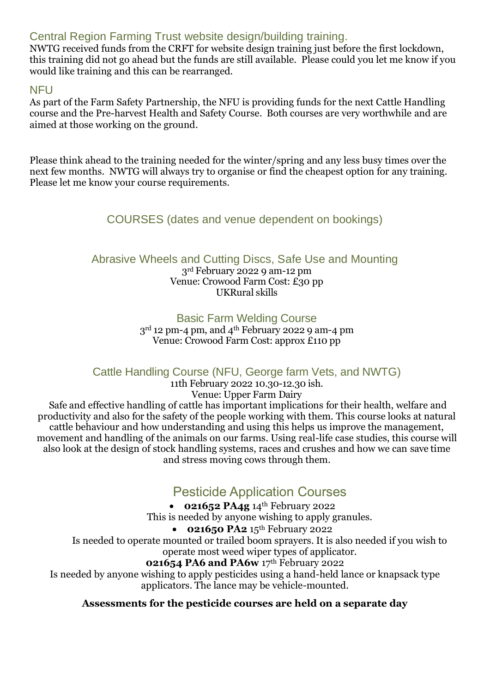## Central Region Farming Trust website design/building training.

NWTG received funds from the CRFT for website design training just before the first lockdown, this training did not go ahead but the funds are still available. Please could you let me know if you would like training and this can be rearranged.

### **NFU**

As part of the Farm Safety Partnership, the NFU is providing funds for the next Cattle Handling course and the Pre-harvest Health and Safety Course. Both courses are very worthwhile and are aimed at those working on the ground.

Please think ahead to the training needed for the winter/spring and any less busy times over the next few months. NWTG will always try to organise or find the cheapest option for any training. Please let me know your course requirements.

# COURSES (dates and venue dependent on bookings)

#### Abrasive Wheels and Cutting Discs, Safe Use and Mounting 3rd February 2022 9 am-12 pm Venue: Crowood Farm Cost: £30 pp UKRural skills

Basic Farm Welding Course  $3<sup>rd</sup>$  12 pm-4 pm, and  $4<sup>th</sup>$  February 2022 9 am-4 pm Venue: Crowood Farm Cost: approx £110 pp

# Cattle Handling Course (NFU, George farm Vets, and NWTG)

11th February 2022 10.30-12.30 ish.

Venue: Upper Farm Dairy

Safe and effective handling of cattle has important implications for their health, welfare and productivity and also for the safety of the people working with them. This course looks at natural cattle behaviour and how understanding and using this helps us improve the management, movement and handling of the animals on our farms. Using real-life case studies, this course will also look at the design of stock handling systems, races and crushes and how we can save time and stress moving cows through them.

# Pesticide Application Courses

• **021652 PA4g** 14th February 2022

This is needed by anyone wishing to apply granules.

• **021650 PA2** 15th February 2022

Is needed to operate mounted or trailed boom sprayers. It is also needed if you wish to operate most weed wiper types of applicator.

## **021654 PA6 and PA6w** 17th February 2022

Is needed by anyone wishing to apply pesticides using a hand-held lance or knapsack type applicators. The lance may be vehicle-mounted.

## **Assessments for the pesticide courses are held on a separate day**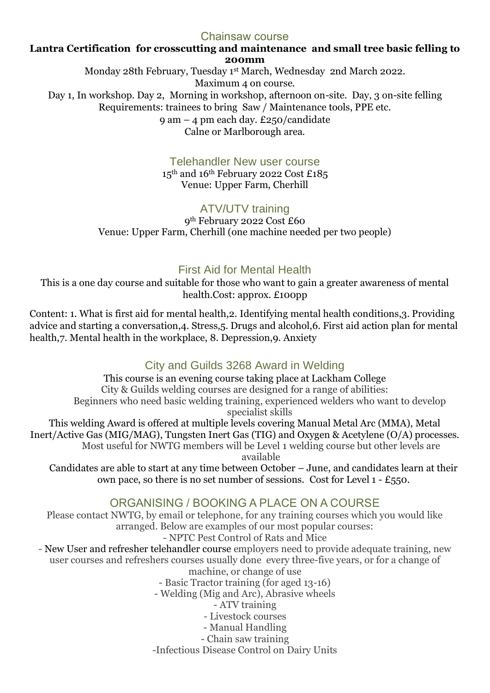#### Chainsaw course

**Lantra Certification for crosscutting and maintenance and small tree basic felling to 200mm**

Monday 28th February, Tuesday 1st March, Wednesday 2nd March 2022. Maximum 4 on course.

Day 1, In workshop. Day 2, Morning in workshop, afternoon on-site. Day, 3 on-site felling Requirements: trainees to bring Saw / Maintenance tools, PPE etc.

9 am – 4 pm each day. £250/candidate

Calne or Marlborough area.

## Telehandler New user course

15<sup>th</sup> and 16<sup>th</sup> February 2022 Cost £185 Venue: Upper Farm, Cherhill

## ATV/UTV training

9th February 2022 Cost £60 Venue: Upper Farm, Cherhill (one machine needed per two people)

## First Aid for Mental Health

This is a one day course and suitable for those who want to gain a greater awareness of mental health.Cost: approx. £100pp

Content: 1. What is first aid for mental health,2. Identifying mental health conditions,3. Providing advice and starting a conversation,4. Stress,5. Drugs and alcohol,6. First aid action plan for mental health,7. Mental health in the workplace, 8. Depression,9. Anxiety

# City and Guilds 3268 Award in Welding

This course is an evening course taking place at Lackham College City & Guilds welding courses are designed for a range of abilities: Beginners who need basic welding training, experienced welders who want to develop specialist skills

This welding Award is offered at multiple levels covering Manual Metal Arc (MMA), Metal Inert/Active Gas (MIG/MAG), Tungsten Inert Gas (TIG) and Oxygen & Acetylene (O/A) processes. Most useful for NWTG members will be Level 1 welding course but other levels are available

Candidates are able to start at any time between October – June, and candidates learn at their own pace, so there is no set number of sessions. Cost for Level 1 - £550.

# ORGANISING / BOOKING A PLACE ON A COURSE

Please contact NWTG, by email or telephone, for any training courses which you would like arranged. Below are examples of our most popular courses:

- NPTC Pest Control of Rats and Mice

- New User and refresher telehandler course employers need to provide adequate training, new user courses and refreshers courses usually done every three-five years, or for a change of machine, or change of use

- Basic Tractor training (for aged 13-16)

- Welding (Mig and Arc), Abrasive wheels

- ATV training

- Livestock courses

- Manual Handling

- Chain saw training

-Infectious Disease Control on Dairy Units